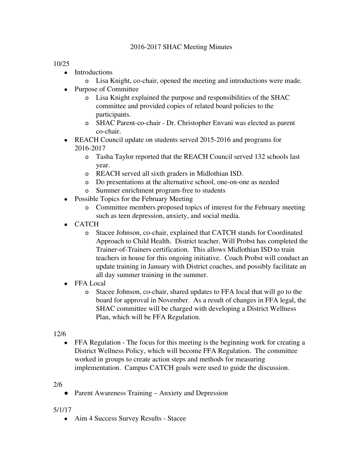## 2016-2017 SHAC Meeting Minutes

## 10/25

- Introductions
	- o Lisa Knight, co-chair, opened the meeting and introductions were made.
- Purpose of Committee
	- o Lisa Knight explained the purpose and responsibilities of the SHAC committee and provided copies of related board policies to the participants.
	- o SHAC Parent-co-chair Dr. Christopher Envani was elected as parent co-chair.
- REACH Council update on students served 2015-2016 and programs for 2016-2017
	- o Tasha Taylor reported that the REACH Council served 132 schools last year.
	- o REACH served all sixth graders in Midlothian ISD.
	- o Do presentations at the alternative school, one-on-one as needed
	- o Summer enrichment program-free to students
- Possible Topics for the February Meeting
	- o Committee members proposed topics of interest for the February meeting such as teen depression, anxiety, and social media.
- CATCH
	- o Stacee Johnson, co-chair, explained that CATCH stands for Coordinated Approach to Child Health. District teacher, Will Probst has completed the Trainer-of-Trainers certification. This allows Midlothian ISD to train teachers in house for this ongoing initiative. Coach Probst will conduct an update training in January with District coaches, and possibly facilitate an all day summer training in the summer.
- **FFA Local** 
	- o Stacee Johnson, co-chair, shared updates to FFA local that will go to the board for approval in November. As a result of changes in FFA legal, the SHAC committee will be charged with developing a District Wellness Plan, which will be FFA Regulation.

12/6

FFA Regulation - The focus for this meeting is the beginning work for creating a District Wellness Policy, which will become FFA Regulation. The committee worked in groups to create action steps and methods for measuring implementation. Campus CATCH goals were used to guide the discussion.

## 2/6

• Parent Awareness Training – Anxiety and Depression

## 5/1/17

• Aim 4 Success Survey Results - Stacee